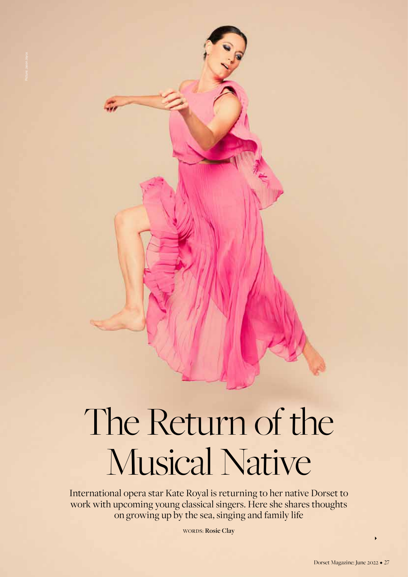# The Return of the Musical Native

International opera star Kate Royal is returning to her native Dorset to work with upcoming young classical singers. Here she shares thoughts on growing up by the sea, singing and family life

Words: **Rosie Clay**

 $\blacktriangleright$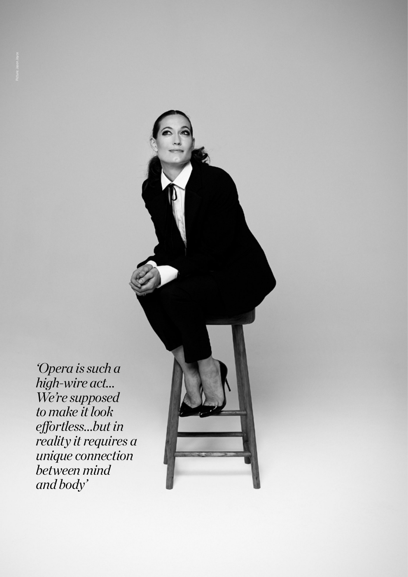Upera is stopperally a summary of the state of the state of the state of the state of the state of the state of the state of the state of the state of the state of the state of the state of the state of the state of the st *'Opera is such a high-wire act… We're supposed to make it look effortless…but in reality it requires a unique connection between mind and body'*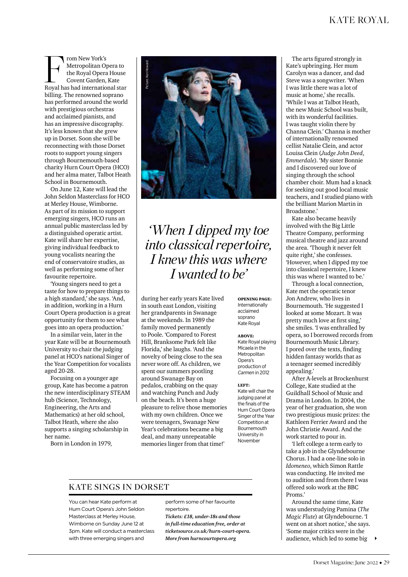From New York's<br>
Metropolitan Opera to<br>
the Royal Opera House<br>
Covent Garden, Kate<br>
Royal has had international star Metropolitan Opera to the Royal Opera House Covent Garden, Kate billing. The renowned soprano has performed around the world with prestigious orchestras and acclaimed pianists, and has an impressive discography. It's less known that she grew up in Dorset. Soon she will be reconnecting with those Dorset roots to support young singers through Bournemouth-based charity Hurn Court Opera (HCO) and her alma mater, Talbot Heath School in Bournemouth.

On June 12, Kate will lead the John Seldon Masterclass for HCO at Merley House, Wimborne. As part of its mission to support emerging singers, HCO runs an annual public masterclass led by a distinguished operatic artist. Kate will share her expertise, giving individual feedback to young vocalists nearing the end of conservatoire studies, as well as performing some of her favourite repertoire.

'Young singers need to get a taste for how to prepare things to a high standard,' she says. 'And, in addition, working in a Hurn Court Opera production is a great opportunity for them to see what goes into an opera production.'

In a similar vein, later in the year Kate will be at Bournemouth University to chair the judging panel at HCO's national Singer of the Year Competition for vocalists aged 20-28.

Focusing on a younger age group, Kate has become a patron the new interdisciplinary STEAM hub (Science, Technology, Engineering, the Arts and Mathematics) at her old school, Talbot Heath, where she also supports a singing scholarship in her name.

Born in London in 1979,



*'When I dipped my toe into classical repertoire, I knew this was where I wanted to be'*

during her early years Kate lived in south east London, visiting her grandparents in Swanage at the weekends. In 1989 the family moved permanently to Poole. 'Compared to Forest Hill, Branksome Park felt like Florida,' she laughs. 'And the novelty of being close to the sea never wore off. As children, we spent our summers pootling around Swanage Bay on pedalos, crabbing on the quay and watching Punch and Judy on the beach. It's been a huge pleasure to relive those memories with my own children. Once we were teenagers, Swanage New Year's celebrations became a big deal, and many unrepeatable memories linger from that time!'

opening page: Internationally acclaimed soprano Kate Royal

ABOVE: Kate Royal playing Micaela in the Metropolitan Opera's production of *Carmen* in 2012

left: Kate will chair the judging panel at the finals of the Hurn Court Opera Singer of the Year Competition at **Bournemouth** University in November

## Kate sings in Dorset

You can hear Kate perform at Hurn Court Opera's John Seldon Masterclass at Merley House, Wimborne on Sunday June 12 at 3pm. Kate will conduct a masterclass with three emerging singers and

perform some of her favourite repertoire. *Tickets: £18, under-18s and those in full-time education free, order at ticketsource.co.uk/hurn-court-opera. More from hurncourtopera.org*

The arts figured strongly in Kate's upbringing. Her mum Carolyn was a dancer, and dad Steve was a songwriter. 'When I was little there was a lot of music at home,' she recalls. 'While I was at Talbot Heath, the new Music School was built, with its wonderful facilities. I was taught violin there by Channa Clein.' Channa is mother of internationally renowned cellist Natalie Clein, and actor Louisa Clein (*Judge John Deed*, *Emmerdale*). 'My sister Bonnie and I discovered our love of singing through the school chamber choir. Mum had a knack for seeking out good local music teachers, and I studied piano with the brilliant Marion Martin in Broadstone.'

Kate also became heavily involved with the Big Little Theatre Company, performing musical theatre and jazz around the area. 'Though it never felt quite right,' she confesses. 'However, when I dipped my toe into classical repertoire, I knew this was where I wanted to be.'

Through a local connection, Kate met the operatic tenor Jon Andrew, who lives in Bournemouth. 'He suggested I looked at some Mozart. It was pretty much love at first sing,' she smiles. 'I was enthralled by opera, so I borrowed records from Bournemouth Music Library. I pored over the texts, finding hidden fantasy worlds that as a teenager seemed incredibly appealing.'

After A-levels at Brockenhurst College, Kate studied at the Guildhall School of Music and Drama in London. In 2004, the year of her graduation, she won two prestigious music prizes: the Kathleen Ferrier Award and the John Christie Award. And the work started to pour in.

'I left college a term early to take a job in the Glyndebourne Chorus. I had a one-line solo in *Idomeneo*, which Simon Rattle was conducting. He invited me to audition and from there I was offered solo work at the BBC Proms.'

Around the same time, Kate was understudying Pamina (*The Magic Flute*) at Glyndebourne. 'I went on at short notice,' she says. 'Some major critics were in the audience, which led to some big  $\blacktriangleright$